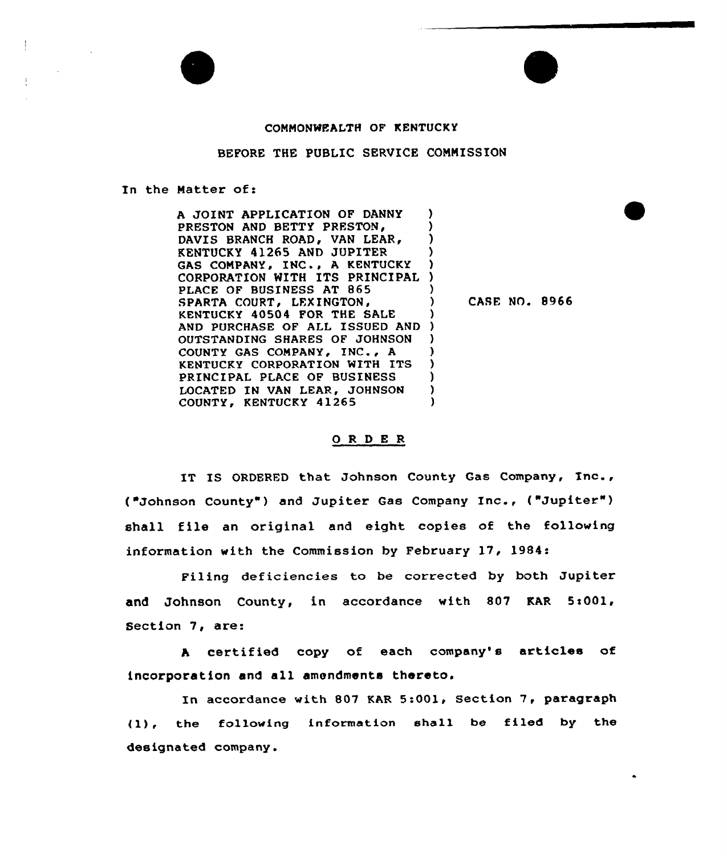

## COMMONWEALTH OF KENTUCKY

## BEFORE THE PUBLIC SERVICE COMMISSION

## In the Natter of:

A JOINT APPLICATION OF DANNY PRESTON AND BETTY PRESTON, DAVIS BRANCH ROAD, VAN LEAR, KENTUCKY 41265 AND JUPITER ) GAS COMPANY, INC., A KENTUCKY CORPORATION WITH ITS PRINCIPAL ) PLACE OF BUSINESS AT 865 SPARTA COURT, LEXINGTON, KENTUCKY 40504 FOR THE SALE ) AND PURCHASE OF ALL ISSUED AND ) OUTSTANDING SHARES OF JOHNSON ) COUNTY GAS COMPANY, INC., A () KENTUCKY CORPORATION WITH ITS )<br>PRINCIPAL PLACE OF BUSINESS ) PRINCIPAL PLACE OF BUSINESS )<br>LOCATED IN VAN LEAR. JOHNSON ) LOCATED IN VAN LEAR, JOHNSON )<br>COUNTY, KENTUCKY 41265 COUNTY, KENTUCKY 41265 )

CASE NO. 8966

## ORDER

IT IS ORDERFD that Johnson County Gas Company, Inc., ("Johnson County" ) and Jupiter Gas Company Inc., ("Jupiter" ) shall file an original and eight copies of the following information with the Commission by February 17, 1984:

Filing deficiencies to be corrected by both Jupiter and Johnson County, in accordance with 807 KAR 5:001, Section 7, are:

<sup>A</sup> certified copy of each company's articles of incorporation and all amendments thereto.

In accordance with 807 KAR 5:001, Section 7, paragraph (1), the following information shall be filed by the designated company.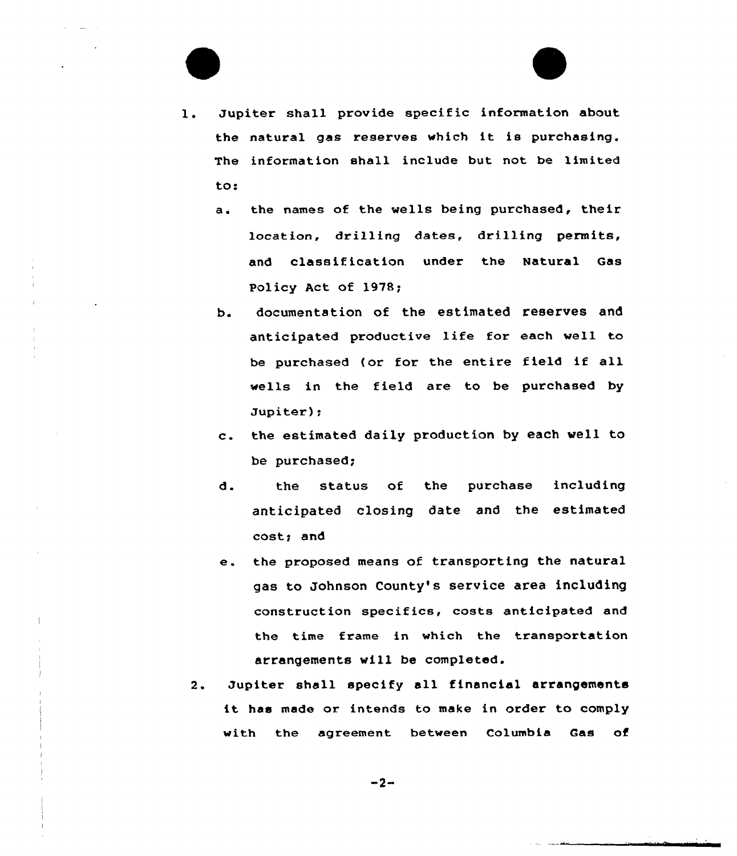1. Jupiter shall provide specific information about the natural gas reserves which it is purchasing. The information shall include but not be limited to:

- a. the names of the wells being purchased, their location, drilling dates, drilling permits, and classification under the Natural Gas Policy Act of 1978;
- b. documentation of the estimated reserves and anticipated productive life for each well to be purchased {or for the entire field if all wells in the field are to be purchased by Jupiter);
- c. the estimated daily production by each well to be purchased;
- d. the status of the purchase including anticipated closing date and the estimated cost; and
- e. the proposed means of transporting the natural gas to Johnson County's service area including construction specifics, costs anticipated and the time frame in which the transportation arrangements vill be completed.
- 2. Jupiter shall specify all financial arrangements it has made or intends to make in order to comply with the agreement between Columbia Gas of

 $-2-$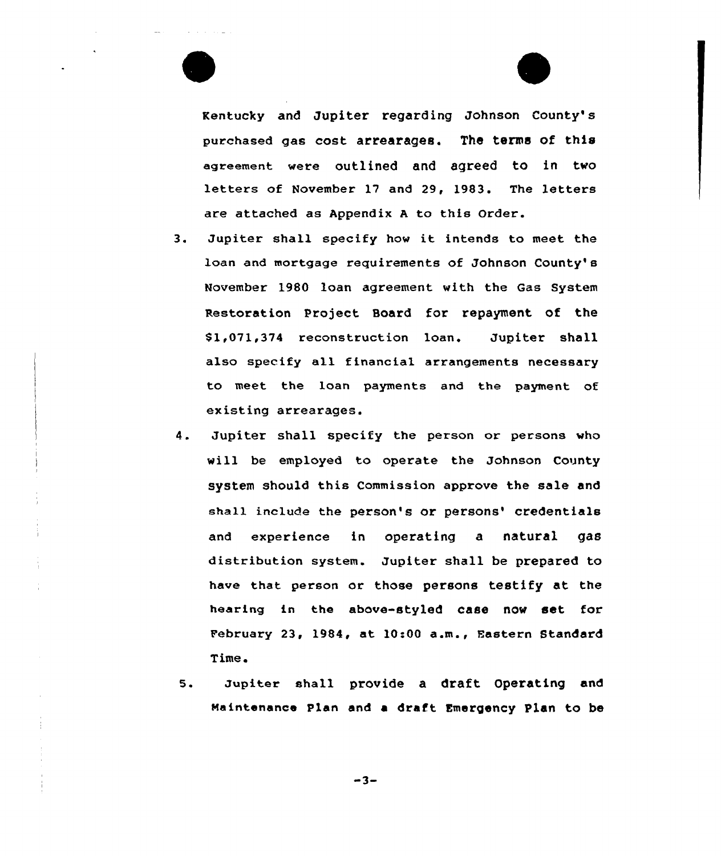



Kentucky and Jupiter regarding Johnson County's purchased gas cost arrearages. The terms of this agreement were outlined and agreed to in two letters of November 17 and 29, 1983. The letters are attached as Appendix <sup>A</sup> to this Order.

- 3. Jupiter shall specify how it intends to meet the loan and mortgage requirements of Johnson County's November 1980 loan agreement with the Gas System pestoration Project Board for repayment of the \$1,071,374 reconstruction loan. Jupiter shall also specify all financial arrangements necessary to meet the loan payments and the payment of existing arrearages.
- Jupiter shall specify the person or persons who 4. will be employed to operate the Johnson County system should this Commission approve the sale and shall include the person's or persons' credentials and experience in operating a natural gas distribution system. Jupiter shall be prepared to have that person or those persons testify at the hearing in the above-styled case now set for February 23, 1984, at 10:00 a.m., Fastern Standard Time.
- 5. Jupiter shall provide a draft Operating and maintenance plan and a draft Emergency Plan to be

 $-3-$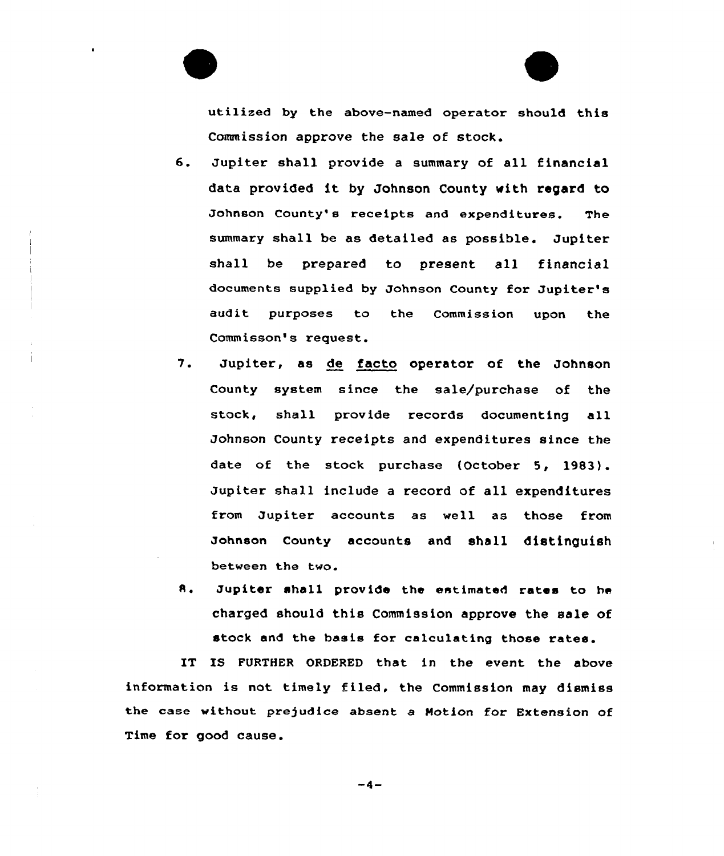utilized by the above-named operator should this Commission approve the sale of stock.

- 6. Jupiter shall provide <sup>a</sup> summary of all financial data provided it by Johnson County with regard to Johnson County's receipts and expenditures. The summary shall be as detailed as possible. Jupiter shall be prepared to present all financial documents supplied by Johnson County for Jupiter's audit purposes to the Commission upon the Commisson's request.
- 7. Jupiter, as de facto operator of the Johnson County system since the sale/purchase of the stock, shall provide records documenting all Johnson County receipts and expenditures since the date of the stock purchase (October 5, 1983). Jupiter shall include a record of all expenditures from Jupiter accounts as well as those from Johnson County accounts and shall distinguish between the two.
- A. Jupiter shall provide the estimated rates to he charged should this Commission approve the sale of stock and the basis for calculating those rates.

IT IS FURTHER ORDERED that in the event the above information is not timely filed, the Commission may dismiss the case without prejudice absent a Motion for Extension of Time for good cause.

 $-4-$